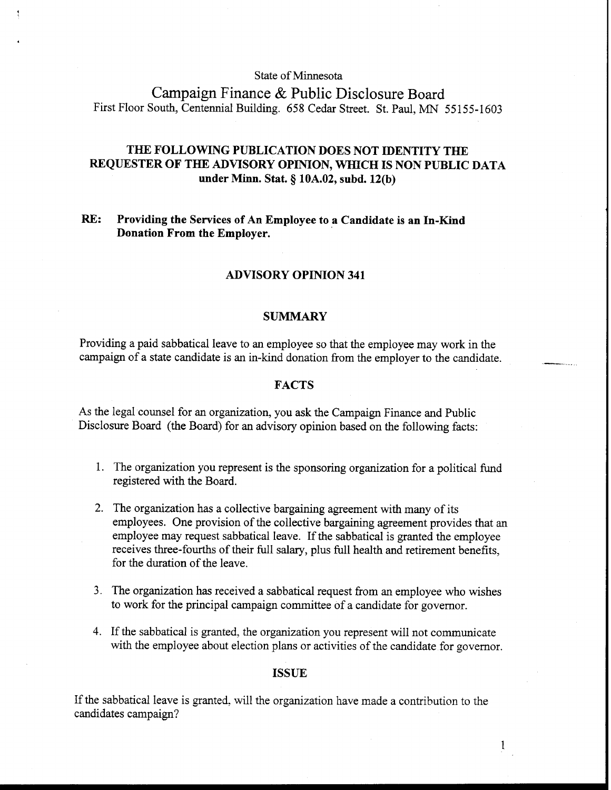#### State of Minnesota

Campaign Finance & Public Disclosure Board First Floor South, Centennial Building. *658* Cedar Street. St. Paul, MN *55* 1 *55-* 1 *603* 

# **THE FOLLOWING PUBLICATION DOES NOT IDENTITY THE REQUESTER OF THE ADVISORY OPINION, WHICH IS NON PUBLIC DATA under Minn. Stat.** *5* **10A.02, subd. 12(b)**

## **RE: Providing the Services of An Employee to a Candidate is an In-Kind Donation From the Employer.**

## **ADVISORY OPINION 341**

#### **SUMMARY**

Providing a paid sabbatical leave to an employee so that the employee may work in the campaign of a state candidate is an in-kind donation from the employer to the candidate.

## **FACTS**

**As** the legal counsel for an organization, you ask the Campaign Finance and Public Disclosure Board (the Board) for an advisory opinion based on the following facts:

- 1. The organization you represent is the sponsoring organization for a political fund registered with the Board.
- 2. The organization has a collective bargaining agreement with many of its employees. One provision of the collective bargaining agreement provides that an employee may request sabbatical leave. If the sabbatical is granted the employee receives three-fourths of their full salary, plus full health and retirement benefits, for the duration of the leave.
- *3.* The organization has received a sabbatical request fiom an employee who wishes to work for the principal campaign committee of a candidate for governor.
- 4. If the sabbatical is granted, the organization you represent will not communicate with the employee about election plans or activities of the candidate for governor.

1

# **ISSUE**

If the sabbatical leave is granted: will the organization have made a contribution to the candidates campaign?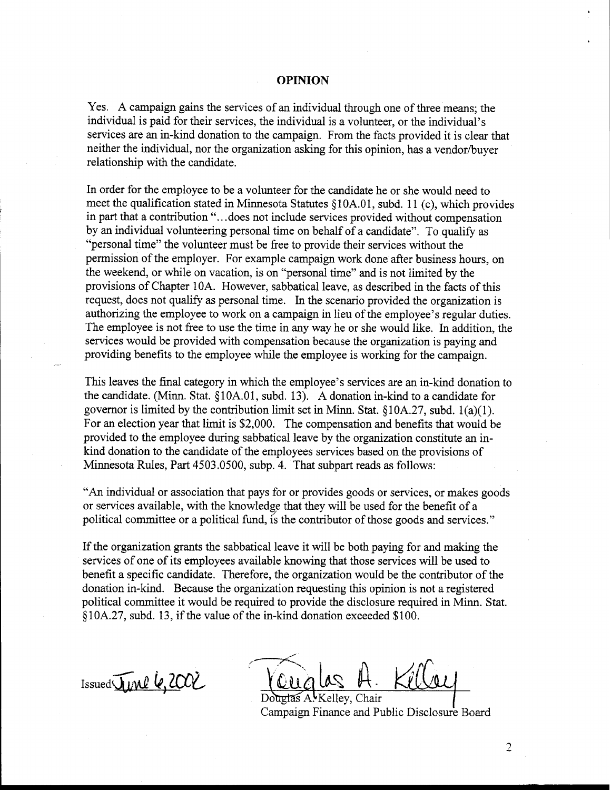#### **OPINION**

Yes. A campaign gains the services of an individual through one of three means; the individual is paid for their services, the individual is a volunteer, or the individual's services are an in-kind donation to the campaign. From the facts provided it is clear that neither the individual, nor the organization asking for this opinion, has a vendor/buyer relationship with the candidate.

In order for the employee to be a volunteer for the candidate he or she would need to meet the qualification stated in Minnesota Statutes  $§10A.01$ , subd. 11 (c), which provides in part that a contribution ". . .does not include services provided without compensation by an individual volunteering personal time on behalf of a candidate". To qualify as "personal time" the volunteer must be free to provide their services without the permission of the employer. For example campaign work done after business hours, on the weekend, or while on vacation, is on "personal time" and is not limited by the provisions of Chapter 10A. However, sabbatical leave, as described in the facts of this request, does not qualify as personal time. In the scenario provided the organization is authorizing the employee to work on a campaign in lieu of the employee's regular duties. The employee is not free to use the time in any way he or she would like. In addition, the services would be provided with compensation because the organization is paying and providing benefits to the employee while the employee is working for the campaign.

This leaves the final category in which the employee's services are an in-kind donation to the candidate. (Minn. Stat.  $§10A.01$ , subd. 13). A donation in-kind to a candidate for governor is limited by the contribution limit set in Minn. Stat. **8** 10A.27, subd. 1 (a)(l). For an election year that limit is \$2,000. The compensation and benefits that would be provided to the employee during sabbatical leave by the organization constitute an inkind donation to the candidate of the employees services based on the provisions of Minnesota Rules, Part 4503.0500, subp. 4. That subpart reads as follows:

**"An** individual or association that pays for or provides goods or services, or makes goods or services available, with the knowledge that they will be used for the benefit of a political committee or a political fund, is the contributor of those goods and services."

If the organization grants the sabbatical leave it will be both paying for and making the services of one of its employees available knowing that those services will be used to benefit a specific candidate. Therefore, the organization would be the contributor of the donation in-kind. Because the organization requesting this opinion is not a registered political committee it would be required to provide the disclosure required in Minn. Stat. \$ 10A.27, subd. 13, if the value of the in-kind donation exceeded \$100.

Issued June 6, 2002

ellev, Chair Campaign Finance and Public Disclosure Board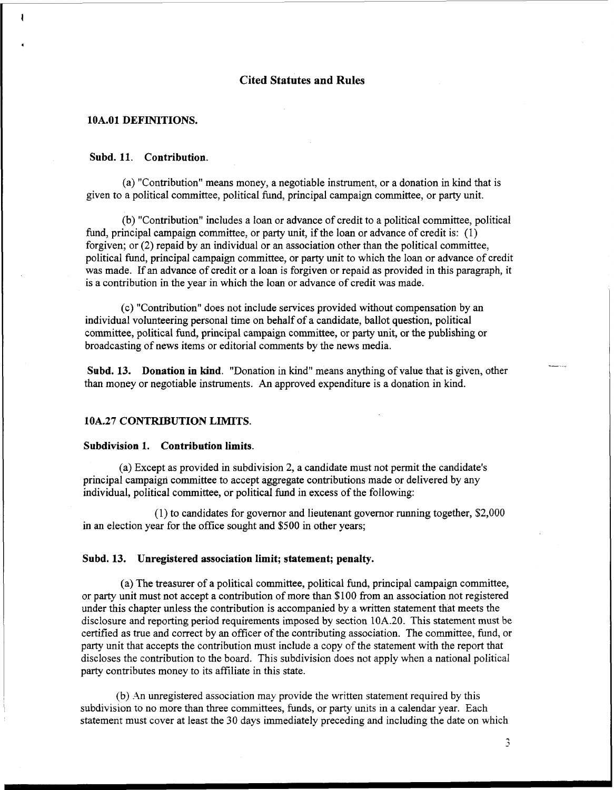## **Cited Statutes and Rules**

#### **10A.O1 DEFINITIONS.**

#### **Subd. 11. Contribution.**

(a) "Contribution" means money, a negotiable instrument, or a donation in kind that is given to a political committee, political fund, principal campaign committee, or party unit.

(b) "Contribution" includes a loan or advance of credit to a political committee, political fund, principal campaign committee, or party unit, if the loan or advance of credit is: (1) forgiven; or (2) repaid by an individual or an association other than the political committee, political fund, principal campaign committee, or party unit to which the loan or advance of credit was made. If an advance of credit or a loan is forgiven or repaid as provided in this paragraph, it is a contribution in the year in which the loan or advance of credit was made.

(c) "Contribution" does not include services provided without compensation by an individual volunteering personal time on behalf of a candidate, ballot question, political committee, political fund, principal campaign committee, or party unit, or the publishing or broadcasting of news items or editorial comments by the news media.

**Subd. 13. Donation in kind.** "Donation in kind" means anything of value that is given, other than money or negotiable instruments. **An** approved expenditure is a donation in kind.

#### **10A.27 CONTRIBUTION LIMITS.**

#### **Subdivision 1. Contribution limits.**

(a) Except as provided in subdivision 2, a candidate must not permit the candidate's principal campaign committee to accept aggregate contributions made or delivered by any individual, political committee, or political fund in excess of the following:

(1) to candidates for governor and lieutenant governor running together, \$2,000 in an election year for the office sought and \$500 in other years;

#### **Subd. 13. Unregistered association limit; statement; penalty.**

(a) The treasurer of a political committee, political fund, principal campaign committee, or party unit must not accept a contribution of more than \$100 from an association not registered under this chapter unless the contribution is accompanied by a written statement that meets the disclosure and reporting period requirements imposed by section 10A.20. This statement must be certified as true and correct by an officer of the contributing association. The committee, fund, or party unit that accepts the contribution must include a copy of the statement with the report that discloses the contribution to the board. This subdivision does not apply when a national political party contributes money to its affiliate in this state.

(b) An unregistered association may provide the written statement required by this subdivision to no more than three committees, funds, or party units in a calendar year. Each statement must cover at least the 30 days immediately preceding and including the date on which -.. ,